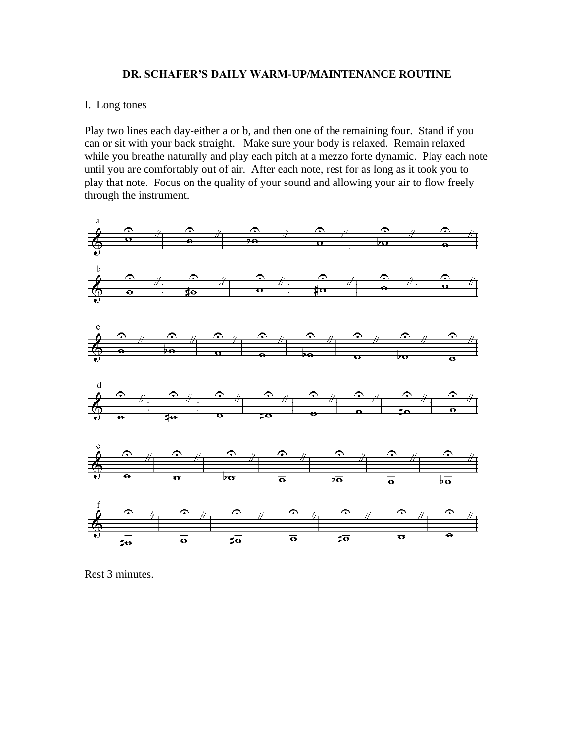### **DR. SCHAFER'S DAILY WARM-UP/MAINTENANCE ROUTINE**

### I. Long tones

Play two lines each day-either a or b, and then one of the remaining four. Stand if you can or sit with your back straight. Make sure your body is relaxed. Remain relaxed while you breathe naturally and play each pitch at a mezzo forte dynamic. Play each note until you are comfortably out of air. After each note, rest for as long as it took you to play that note. Focus on the quality of your sound and allowing your air to flow freely through the instrument.



Rest 3 minutes.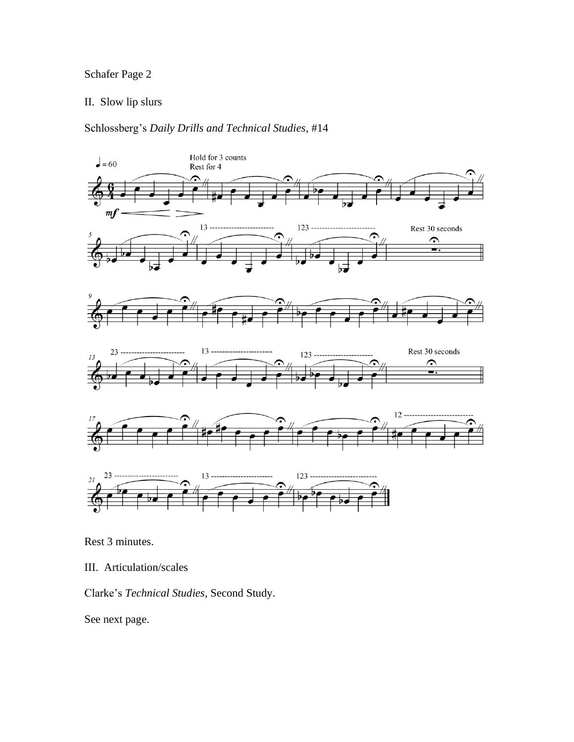## Schafer Page 2

## II. Slow lip slurs

Schlossberg's *Daily Drills and Technical Studies*, #14



Rest 3 minutes.

III. Articulation/scales

Clarke's *Technical Studies*, Second Study.

See next page.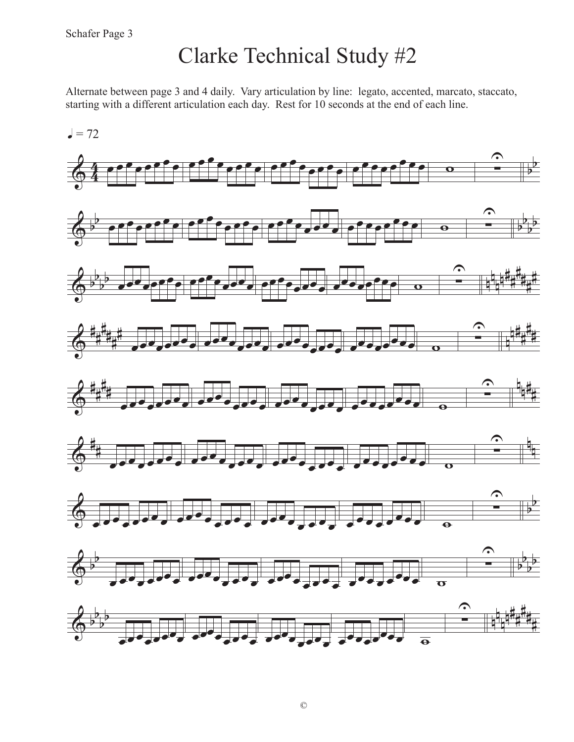# Clarke Technical Study #2

Alternate between page 3 and 4 daily. Vary articulation by line: legato, accented, marcato, staccato, starting with a different articulation each day. Rest for 10 seconds at the end of each line.